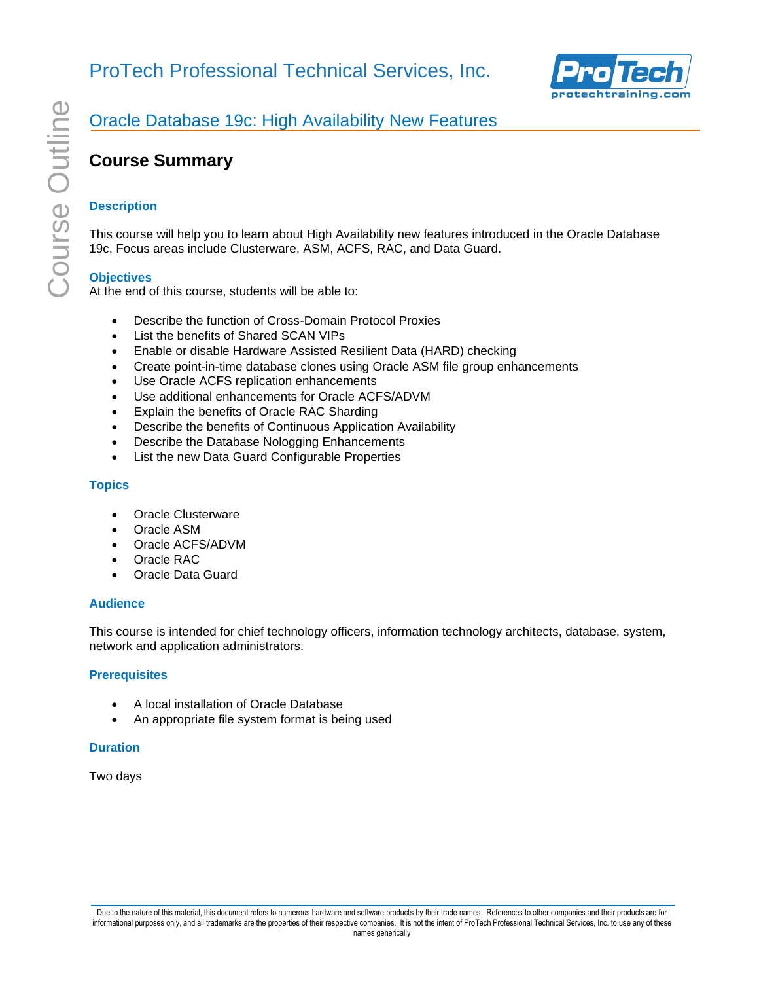

### Oracle Database 19c: High Availability New Features

## **Course Summary**

### **Description**

This course will help you to learn about High Availability new features introduced in the Oracle Database 19c. Focus areas include Clusterware, ASM, ACFS, RAC, and Data Guard.

### **Objectives**

At the end of this course, students will be able to:

- Describe the function of Cross-Domain Protocol Proxies
- List the benefits of Shared SCAN VIPs
- Enable or disable Hardware Assisted Resilient Data (HARD) checking
- Create point-in-time database clones using Oracle ASM file group enhancements
- Use Oracle ACFS replication enhancements
- Use additional enhancements for Oracle ACFS/ADVM
- Explain the benefits of Oracle RAC Sharding
- Describe the benefits of Continuous Application Availability
- Describe the Database Nologging Enhancements
- List the new Data Guard Configurable Properties

#### **Topics**

- Oracle Clusterware
- Oracle ASM
- Oracle ACFS/ADVM
- Oracle RAC
- Oracle Data Guard

#### **Audience**

This course is intended for chief technology officers, information technology architects, database, system, network and application administrators.

#### **Prerequisites**

- A local installation of Oracle Database
- An appropriate file system format is being used

#### **Duration**

Two days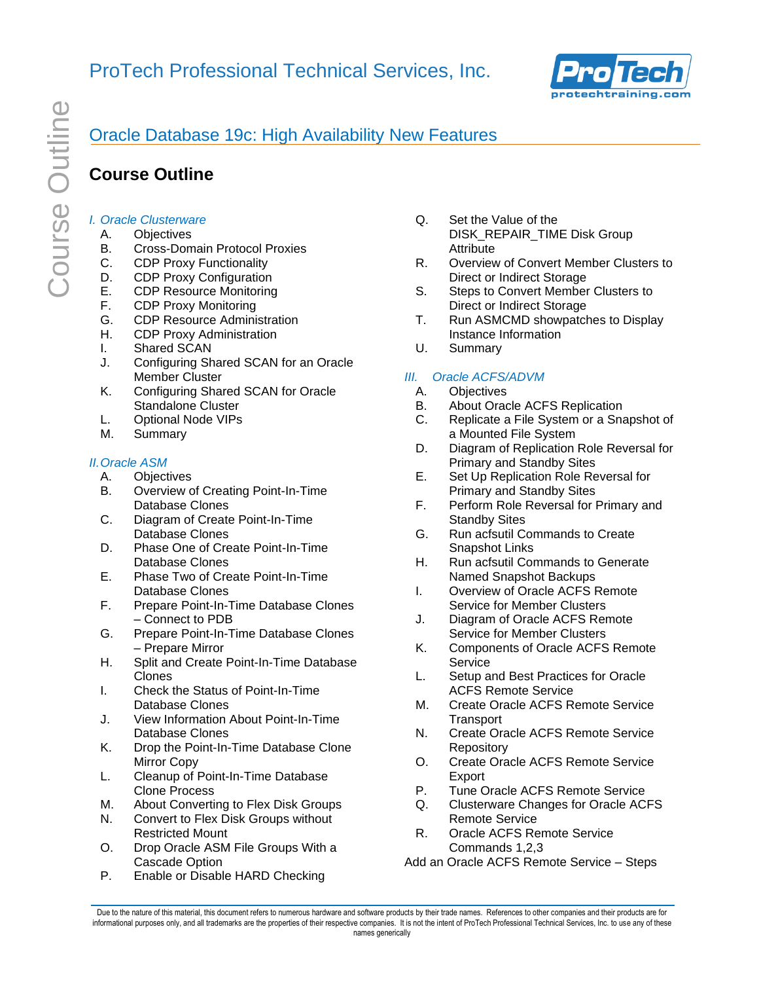

# Oracle Database 19c: High Availability New Features

# **Course Outline**

### *I. Oracle Clusterware*

- A. Objectives
- B. Cross-Domain Protocol Proxies
- C. CDP Proxy Functionality
- D. CDP Proxy Configuration
- E. CDP Resource Monitoring
- F. CDP Proxy Monitoring
- G. CDP Resource Administration
- H. CDP Proxy Administration
- I. Shared SCAN
- J. Configuring Shared SCAN for an Oracle Member Cluster
- K. Configuring Shared SCAN for Oracle Standalone Cluster
- L. Optional Node VIPs
- M. Summary

### *II.Oracle ASM*

- A. Objectives
- B. Overview of Creating Point-In-Time Database Clones
- C. Diagram of Create Point-In-Time Database Clones
- D. Phase One of Create Point-In-Time Database Clones
- E. Phase Two of Create Point-In-Time Database Clones
- F. Prepare Point-In-Time Database Clones – Connect to PDB
- G. Prepare Point-In-Time Database Clones – Prepare Mirror
- H. Split and Create Point-In-Time Database Clones
- I. Check the Status of Point-In-Time Database Clones
- J. View Information About Point-In-Time Database Clones
- K. Drop the Point-In-Time Database Clone Mirror Copy
- L. Cleanup of Point-In-Time Database Clone Process
- M. About Converting to Flex Disk Groups
- N. Convert to Flex Disk Groups without Restricted Mount
- O. Drop Oracle ASM File Groups With a Cascade Option
- P. Enable or Disable HARD Checking
- Q. Set the Value of the DISK\_REPAIR\_TIME Disk Group Attribute
- R. Overview of Convert Member Clusters to Direct or Indirect Storage
- S. Steps to Convert Member Clusters to Direct or Indirect Storage
- T. Run ASMCMD showpatches to Display Instance Information
- U. Summary

### *III. Oracle ACFS/ADVM*

- A. Objectives
- B. About Oracle ACFS Replication
- C. Replicate a File System or a Snapshot of a Mounted File System
- D. Diagram of Replication Role Reversal for Primary and Standby Sites
- E. Set Up Replication Role Reversal for Primary and Standby Sites
- F. Perform Role Reversal for Primary and Standby Sites
- G. Run acfsutil Commands to Create Snapshot Links
- H. Run acfsutil Commands to Generate Named Snapshot Backups
- I. Overview of Oracle ACFS Remote Service for Member Clusters
- J. Diagram of Oracle ACFS Remote Service for Member Clusters
- K. Components of Oracle ACFS Remote Service
- L. Setup and Best Practices for Oracle ACFS Remote Service
- M. Create Oracle ACFS Remote Service **Transport**
- N. Create Oracle ACFS Remote Service **Repository**
- O. Create Oracle ACFS Remote Service Export
- P. Tune Oracle ACFS Remote Service
- Q. Clusterware Changes for Oracle ACFS Remote Service
- R. Oracle ACFS Remote Service Commands 1,2,3
- Add an Oracle ACFS Remote Service Steps

Due to the nature of this material, this document refers to numerous hardware and software products by their trade names. References to other companies and their products are for informational purposes only, and all trademarks are the properties of their respective companies. It is not the intent of ProTech Professional Technical Services, Inc. to use any of these names generically